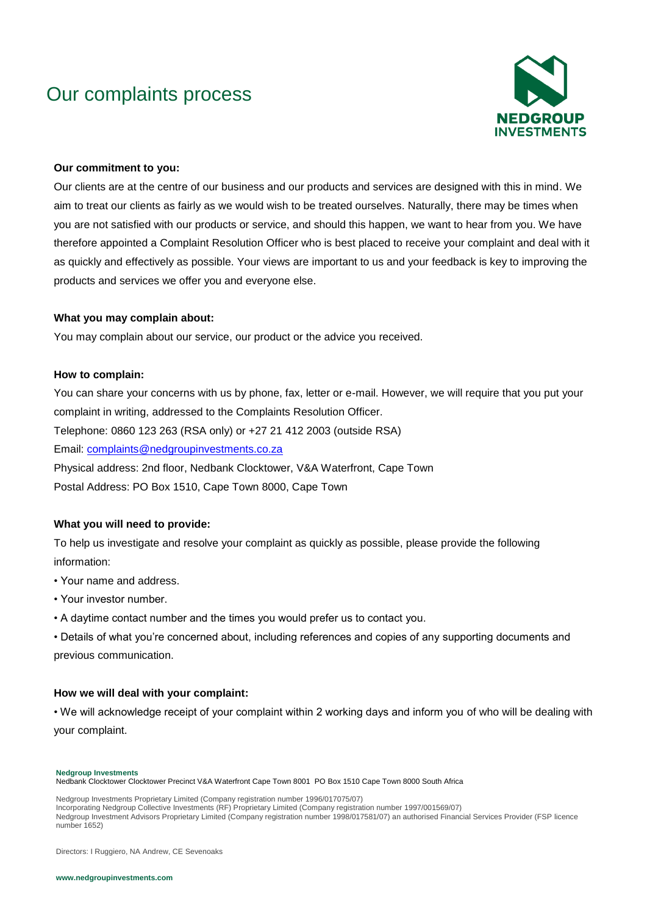# Our complaints process



#### **Our commitment to you:**

Our clients are at the centre of our business and our products and services are designed with this in mind. We aim to treat our clients as fairly as we would wish to be treated ourselves. Naturally, there may be times when you are not satisfied with our products or service, and should this happen, we want to hear from you. We have therefore appointed a Complaint Resolution Officer who is best placed to receive your complaint and deal with it as quickly and effectively as possible. Your views are important to us and your feedback is key to improving the products and services we offer you and everyone else.

#### **What you may complain about:**

You may complain about our service, our product or the advice you received.

#### **How to complain:**

You can share your concerns with us by phone, fax, letter or e-mail. However, we will require that you put your complaint in writing, addressed to the Complaints Resolution Officer. Telephone: 0860 123 263 (RSA only) or +27 21 412 2003 (outside RSA) Email: [complaints@nedgroupinvestments.co.za](mailto:complaints@nedgroupinvestments.co.za) Physical address: 2nd floor, Nedbank Clocktower, V&A Waterfront, Cape Town Postal Address: PO Box 1510, Cape Town 8000, Cape Town

#### **What you will need to provide:**

To help us investigate and resolve your complaint as quickly as possible, please provide the following information:

- Your name and address.
- Your investor number.
- A daytime contact number and the times you would prefer us to contact you.

• Details of what you're concerned about, including references and copies of any supporting documents and previous communication.

#### **How we will deal with your complaint:**

• We will acknowledge receipt of your complaint within 2 working days and inform you of who will be dealing with your complaint.

**Nedgroup Investments**

Nedbank Clocktower Clocktower Precinct V&A Waterfront Cape Town 8001 PO Box 1510 Cape Town 8000 South Africa

Nedgroup Investments Proprietary Limited (Company registration number 1996/017075/07)

Nedgroup Investment Advisors Proprietary Limited (Company registration number 1998/017581/07) an authorised Financial Services Provider (FSP licence number 1652)

Directors: I Ruggiero, NA Andrew, CE Sevenoaks

Incorporating Nedgroup Collective Investments (RF) Proprietary Limited (Company registration number 1997/001569/07)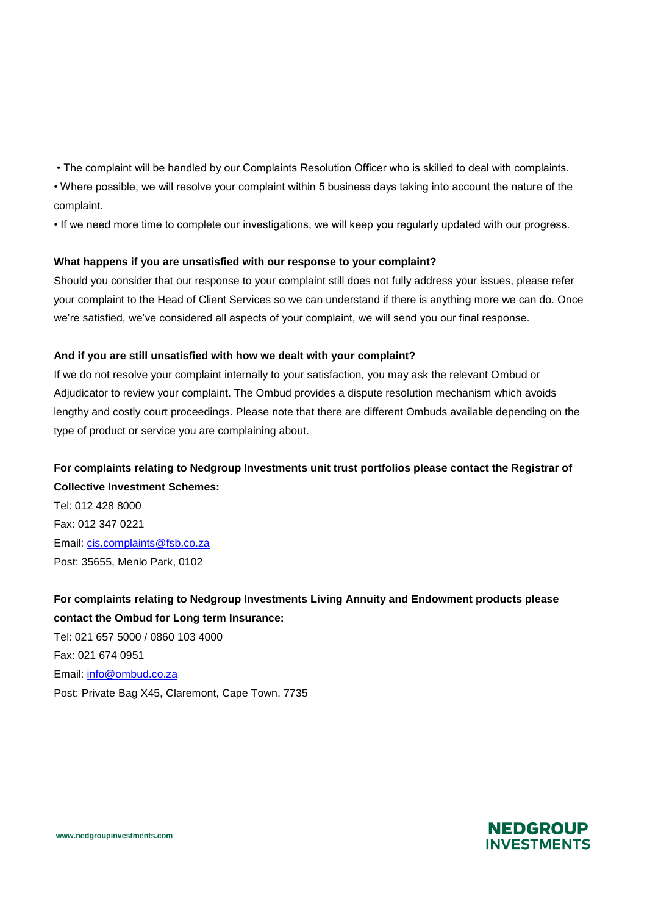• The complaint will be handled by our Complaints Resolution Officer who is skilled to deal with complaints.

• Where possible, we will resolve your complaint within 5 business days taking into account the nature of the complaint.

• If we need more time to complete our investigations, we will keep you regularly updated with our progress.

#### **What happens if you are unsatisfied with our response to your complaint?**

Should you consider that our response to your complaint still does not fully address your issues, please refer your complaint to the Head of Client Services so we can understand if there is anything more we can do. Once we're satisfied, we've considered all aspects of your complaint, we will send you our final response.

#### **And if you are still unsatisfied with how we dealt with your complaint?**

If we do not resolve your complaint internally to your satisfaction, you may ask the relevant Ombud or Adjudicator to review your complaint. The Ombud provides a dispute resolution mechanism which avoids lengthy and costly court proceedings. Please note that there are different Ombuds available depending on the type of product or service you are complaining about.

### **For complaints relating to Nedgroup Investments unit trust portfolios please contact the Registrar of Collective Investment Schemes:**

Tel: 012 428 8000 Fax: 012 347 0221 Email: [cis.complaints@fsb.co.za](mailto:cis.complaints@fsb.co.za) Post: 35655, Menlo Park, 0102

**For complaints relating to Nedgroup Investments Living Annuity and Endowment products please contact the Ombud for Long term Insurance:** 

Tel: 021 657 5000 / 0860 103 4000 Fax: 021 674 0951 Email: [info@ombud.co.za](mailto:info@ombud.co.za) Post: Private Bag X45, Claremont, Cape Town, 7735